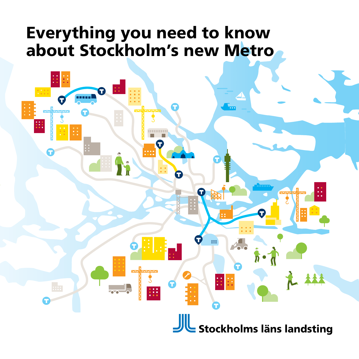## Everything you need to know about Stockholm's new Metro

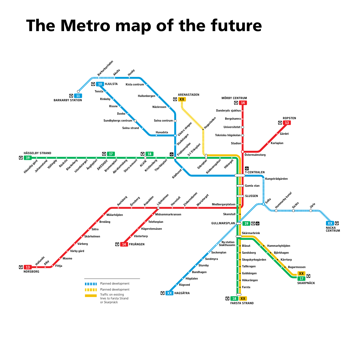## The Metro map of the future

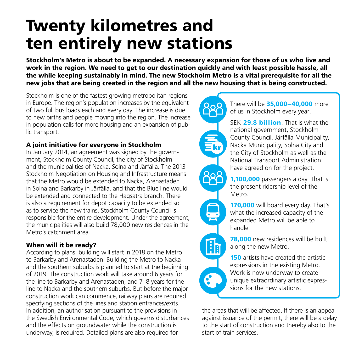## Twenty kilometres and ten entirely new stations

Stockholm's Metro is about to be expanded. A necessary expansion for those of us who live and work in the region. We need to get to our destination quickly and with least possible hassle, all the while keeping sustainably in mind. The new Stockholm Metro is a vital prerequisite for all the new jobs that are being created in the region and all the new housing that is being constructed.

Stockholm is one of the fastest growing metropolitan regions in Europe. The region's population increases by the equivalent of two full bus loads each and every day. The increase is due to new births and people moving into the region. The increase in population calls for more housing and an expansion of public transport.

### A joint initiative for everyone in Stockholm

In January 2014, an agreement was signed by the government, Stockholm County Council, the city of Stockholm and the municipalities of Nacka, Solna and Järfälla. The 2013 Stockholm Negotiation on Housing and Infrastructure means that the Metro would be extended to Nacka, Arenastaden in Solna and Barkarby in Järfälla, and that the Blue line would be extended and connected to the Hagsätra branch. There is also a requirement for depot capacity to be extended so as to service the new trains. Stockholm County Council is responsible for the entire development. Under the agreement, the municipalities will also build 78,000 new residences in the Metro's catchment area.

## When will it be ready?

According to plans, building will start in 2018 on the Metro to Barkarby and Arenastaden. Building the Metro to Nacka and the southern suburbs is planned to start at the beginning of 2019. The construction work will take around 6 years for the line to Barkarby and Arenastaden, and 7–8 years for the line to Nacka and the southern suburbs. But before the major construction work can commence, railway plans are required specifying sections of the lines and station entrances/exits. In addition, an authorisation pursuant to the provisions in the Swedish Environmental Code, which governs disturbances and the effects on groundwater while the construction is underway, is required. Detailed plans are also required for



There will be 35,000–40,000 more of us in Stockholm every year.

SEK 29.8 **billion**. That is what the national government, Stockholm County Council, Järfälla Municipality, Nacka Municipality, Solna City and the City of Stockholm as well as the National Transport Administration have agreed on for the project.

1,100,000 passengers a day. That is the present ridership level of the Metro.

170,000 will board every day. That's what the increased capacity of the expanded Metro will be able to handle.

**78,000** new residences will be built along the new Metro.

**150** artists have created the artistic expressions in the existing Metro. Work is now underway to create unique extraordinary artistic expressions for the new stations.

the areas that will be affected. If there is an appeal against issuance of the permit, there will be a delay to the start of construction and thereby also to the start of train services.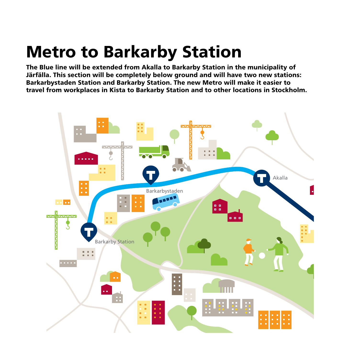## Metro to Barkarby Station

The Blue line will be extended from Akalla to Barkarby Station in the municipality of Järfälla. This section will be completely below ground and will have two new stations: Barkarbystaden Station and Barkarby Station. The new Metro will make it easier to travel from workplaces in Kista to Barkarby Station and to other locations in Stockholm.

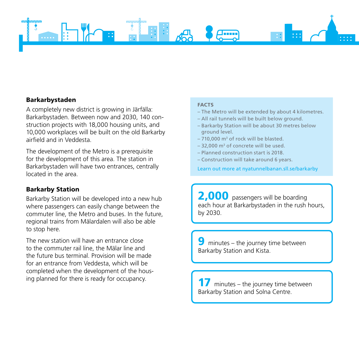

A completely new district is growing in Järfälla: Barkarbystaden. Between now and 2030, 140 construction projects with 18,000 housing units, and 10,000 workplaces will be built on the old Barkarby airfield and in Veddesta.

The development of the Metro is a prerequisite for the development of this area. The station in Barkarbystaden will have two entrances, centrally located in the area.

#### Barkarby Station

Barkarby Station will be developed into a new hub where passengers can easily change between the commuter line, the Metro and buses. In the future, regional trains from Mälardalen will also be able to stop here.

The new station will have an entrance close to the commuter rail line, the Mälar line and the future bus terminal. Provision will be made for an entrance from Veddesta, which will be completed when the development of the housing planned for there is ready for occupancy.

#### **FACTS**

 $\mathbb{A}^{\square}$ 

- The Metro will be extended by about 4 kilometres.
- All rail tunnels will be built below ground.
- Barkarby Station will be about 30 metres below ground level.
- 710,000 m<sup>3</sup> of rock will be blasted.
- 32,000 m<sup>3</sup> of concrete will be used.
- Planned construction start is 2018.
- Construction will take around 6 years.

Learn out more at nyatunnelbanan.sll.se/barkarby

2,000 passengers will be boarding each hour at Barkarbystaden in the rush hours, by 2030.

**9** minutes – the journey time between Barkarby Station and Kista.

 $\mathbf{17}$  minutes – the journey time between Barkarby Station and Solna Centre.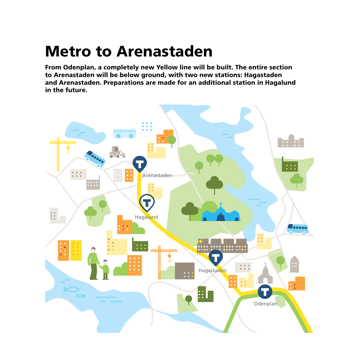## Metro to Arenastaden

From Odenplan, a completely new Yellow line will be built. The entire section to Arenastaden will be below ground, with two new stations: Hagastaden and Arenastaden. Preparations are made for an additional station in Hagalund in the future.

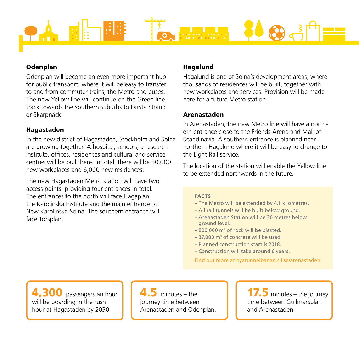

#### Odenplan

Odenplan will become an even more important hub for public transport, where it will be easy to transfer to and from commuter trains, the Metro and buses. The new Yellow line will continue on the Green line track towards the southern suburbs to Farsta Strand or Skarpnäck.

#### Hagastaden

In the new district of Hagastaden, Stockholm and Solna are growing together. A hospital, schools, a research institute, offices, residences and cultural and service centres will be built here. In total, there wil be 50,000 new workplaces and 6,000 new residences.

The new Hagastaden Metro station will have two access points, providing four entrances in total. The entrances to the north will face Hagaplan, the Karolinska Institute and the main entrance to New Karolinska Solna. The southern entrance will face Torsplan.

### Hagalund

Hagalund is one of Solna's development areas, where thousands of residences will be built, together with new workplaces and services. Provision will be made here for a future Metro station.

#### Arenastaden

In Arenastaden, the new Metro line will have a northern entrance close to the Friends Arena and Mall of Scandinavia. A southern entrance is planned near northern Hagalund where it will be easy to change to the Light Rail service.

The location of the station will enable the Yellow line to be extended northwards in the future.

#### FACTS

- The Metro will be extended by 4.1 kilometres.
- All rail tunnels will be built below ground.
- Arenastaden Station will be 30 metres below ground level.
- 800,000 m<sup>3</sup> of rock will be blasted.
- 37,000 m<sup>3</sup> of concrete will be used.
- Planned construction start is 2018.
- Construction will take around 6 years.

Find out more at nyatunnelbanan.sll.se/arenastaden

4.300 passengers an hour will be boarding in the rush hour at Hagastaden by 2030.

 $4.5$  minutes – the journey time between Arenastaden and Odenplan.

**17.5** minutes – the journey time between Gullmarsplan and Arenastaden.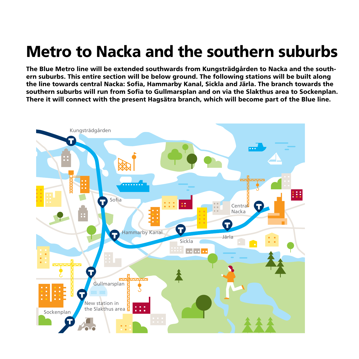## Metro to Nacka and the southern suburbs

The Blue Metro line will be extended southwards from Kungsträdgården to Nacka and the southern suburbs. This entire section will be below ground. The following stations will be built along the line towards central Nacka: Sofia, Hammarby Kanal, Sickla and Järla. The branch towards the southern suburbs will run from Sofia to Gullmarsplan and on via the Slakthus area to Sockenplan. There it will connect with the present Hagsätra branch, which will become part of the Blue line.

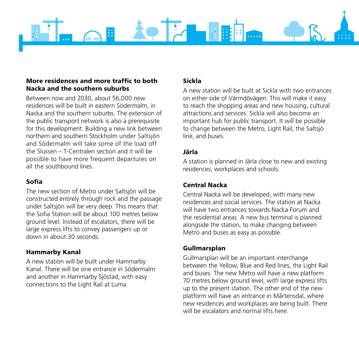

### More residences and more traffic to both Nacka and the southern suburbs

Between now and 2030, about 56,000 new residences will be built in eastern Södermalm, in Nacka and the southern suburbs. The extension of the public transport network is also a prerequisite for this development. Building a new link between northern and southern Stockholm under Saltsjön and Södermalm will take some of the load off the Slussen – T-Centralen section and it will be possible to have more frequent departures on all the southbound lines.

### Sofia

The new section of Metro under Saltsjön will be constructed entirely through rock and the passage under Saltsjön will be very deep. This means that the Sofia Station will be about 100 metres below ground level. Instead of escalators, there will be large express lifts to convey passengers up or down in about 30 seconds.

### Hammarby Kanal

A new station will be built under Hammarby Kanal. There will be one entrance in Södermalm and another in Hammarby Sjöstad, with easy connections to the Light Rail at Luma.

#### Sickla

A new station will be built at Sickla with two entrances on either side of Värmdövägen. This will make it easy to reach the shopping areas and new housing, cultural attractions and services. Sickla will also become an important hub for public transport. It will be possible to change between the Metro, Light Rail, the Saltsjö line, and buses.

#### Järla

A station is planned in Järla close to new and existing residences, workplaces and schools.

### Central Nacka

Central Nacka will be developed, with many new residences and social services. The station at Nacka will have two entrances towards Nacka Forum and the residential areas. A new bus terminal is planned alongside the station, to make changing between Metro and buses as easy as possible.

## Gullmarsplan

Gullmarsplan will be an important interchange between the Yellow, Blue and Red lines, the Light Rail and buses. The new Metro will have a new platform 70 metres below ground level, with large express lifts up to the present station. The other end of the new platform will have an entrance in Mårtensdal, where new residences and workplaces are being built. There will be escalators and normal lifts here.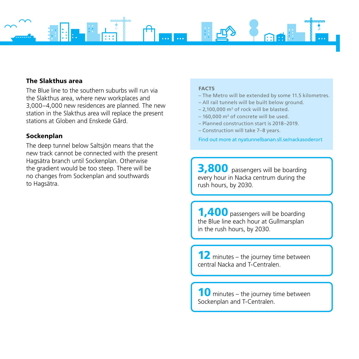

### The Slakthus area

The Blue line to the southern suburbs will run via the Slakthus area, where new workplaces and 3,000–4,000 new residences are planned. The new station in the Slakthus area will replace the present stations at Globen and Enskede Gård.

#### Sockenplan

The deep tunnel below Saltsjön means that the new track cannot be connected with the present Hagsätra branch until Sockenplan. Otherwise the gradient would be too steep. There will be no changes from Sockenplan and southwards to Hagsätra.

#### **FACTS**

- The Metro will be extended by some 11.5 kilometres.
- All rail tunnels will be built below ground.
- $-2,100,000$  m<sup>3</sup> of rock will be blasted.
- 160,000 m<sup>3</sup> of concrete will be used.
- Planned construction start is 2018–2019.
- Construction will take 7–8 years.

Find out more at nyatunnelbanan.sll.se/nackasoderort

**3,800** passengers will be boarding every hour in Nacka centrum during the rush hours, by 2030.

**1,400** passengers will be boarding the Blue line each hour at Gullmarsplan in the rush hours, by 2030.

**12** minutes – the journey time between central Nacka and T-Centralen.

 $10$  minutes – the journey time between Sockenplan and T-Centralen.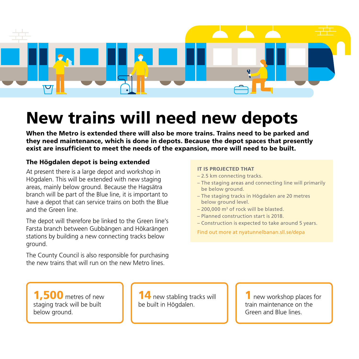

## New trains will need new depots

When the Metro is extended there will also be more trains. Trains need to be parked and they need maintenance, which is done in depots. Because the depot spaces that presently exist are insufficient to meet the needs of the expansion, more will need to be built.

## The Högdalen depot is being extended

At present there is a large depot and workshop in Högdalen. This will be extended with new staging areas, mainly below ground. Because the Hagsätra branch will be part of the Blue line, it is important to have a depot that can service trains on both the Blue and the Green line.

The depot will therefore be linked to the Green line's Farsta branch between Gubbängen and Hökarängen stations by building a new connecting tracks below ground.

The County Council is also responsible for purchasing the new trains that will run on the new Metro lines.

#### IT IS PROJECTED THAT

- 2.5 km connecting tracks.
- The staging areas and connecting line will primarily be below ground.
- The staging tracks in Högdalen are 20 metres below ground level.
- 200,000 m<sup>3</sup> of rock will be blasted.
- Planned construction start is 2018.
- Construction is expected to take around 5 years.

Find out more at nyatunnelbanan.sll.se/depa

**1.500** metres of new staging track will be built below ground.

14 new stabling tracks will be built in Högdalen.

**1** new workshop places for train maintenance on the Green and Blue lines.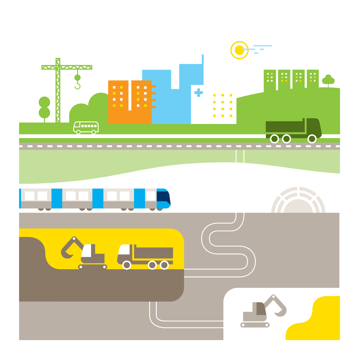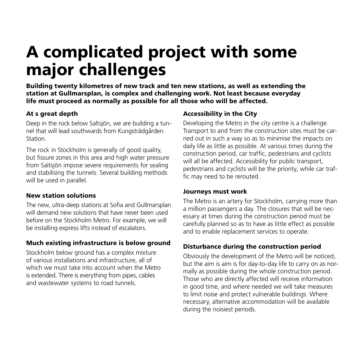## A complicated project with some major challenges

Building twenty kilometres of new track and ten new stations, as well as extending the station at Gullmarsplan, is complex and challenging work. Not least because everyday life must proceed as normally as possible for all those who will be affected.

## At s great depth

Deep in the rock below Saltsjön, we are building a tunnel that will lead southwards from Kungsträdgården Station.

The rock in Stockholm is generally of good quality, but fissure zones in this area and high water pressure from Saltsjön impose severe requirements for sealing and stabilising the tunnels. Several building methods will be used in parallel.

## New station solutions

The new, ultra-deep stations at Sofia and Gullmarsplan will demand new solutions that have never been used before on the Stockholm Metro. For example, we will be installing express lifts instead of escalators.

## Much existing infrastructure is below ground

Stockholm below ground has a complex mixture of various installations and infrastructure, all of which we must take into account when the Metro is extended. There is everything from pipes, cables and wastewater systems to road tunnels.

## Accessibility in the City

Developing the Metro in the city centre is a challenge. Transport to and from the construction sites must be carried out in such a way so as to minimise the impacts on daily life as little as possible. At various times during the construction period, car traffic, pedestrians and cyclists will all be affected. Accessibility for public transport, pedestrians and cyclists will be the priority, while car traffic may need to be rerouted.

## Journeys must work

The Metro is an artery for Stockholm, carrying more than a million passengers a day. The closures that will be necessary at times during the construction period must be carefully planned so as to have as little effect as possible and to enable replacement services to operate.

## Disturbance during the construction period

Obviously the development of the Metro will be noticed, but the aim is aim is for day-to-day life to carry on as normally as possible during the whole construction period. Those who are directly affected will receive information in good time, and where needed we will take measures to limit noise and protect vulnerable buildings. Where necessary, alternative accommodation will be available during the noisiest periods.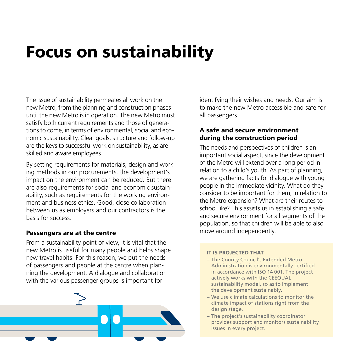## Focus on sustainability

The issue of sustainability permeates all work on the new Metro, from the planning and construction phases until the new Metro is in operation. The new Metro must satisfy both current requirements and those of generations to come, in terms of environmental, social and economic sustainability. Clear goals, structure and follow-up are the keys to successful work on sustainability, as are skilled and aware employees.

By setting requirements for materials, design and working methods in our procurements, the development's impact on the environment can be reduced. But there are also requirements for social and economic sustainability, such as requirements for the working environment and business ethics. Good, close collaboration between us as employers and our contractors is the basis for success.

#### Passengers are at the centre

From a sustainability point of view, it is vital that the new Metro is useful for many people and helps shape new travel habits. For this reason, we put the needs of passengers and people at the centre when planning the development. A dialogue and collaboration with the various passenger groups is important for



identifying their wishes and needs. Our aim is to make the new Metro accessible and safe for all passengers.

### A safe and secure environment during the construction period

The needs and perspectives of children is an important social aspect, since the development of the Metro will extend over a long period in relation to a child's youth. As part of planning, we are gathering facts for dialogue with young people in the immediate vicinity. What do they consider to be important for them, in relation to the Metro expansion? What are their routes to school like? This assists us in establishing a safe and secure environment for all segments of the population, so that children will be able to also move around independently.

#### IT IS PROJECTED THAT

- − The County Council's Extended Metro Administration is environmentally certified in accordance with ISO 14 001. The project actively works with the CEEQUAL sustainability model, so as to implement the development sustainably.
- − We use climate calculations to monitor the climate impact of stations right from the design stage.
- − The project's sustainability coordinator provides support and monitors sustainability issues in every project.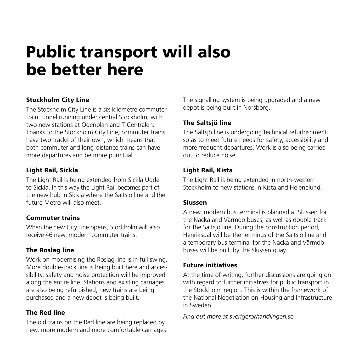## Public transport will also be better here

## Stockholm City Line

The Stockholm City Line is a six-kilometre commuter train tunnel running under central Stockholm, with two new stations at Odenplan and T-Centralen. Thanks to the Stockholm City Line, commuter trains have two tracks of their own, which means that both commuter and long-distance trains can have more departures and be more punctual.

## Light Rail, Sickla

The Light Rail is being extended from Sickla Udde to Sickla. In this way the Light Rail becomes part of the new hub in Sickla where the Saltsjö line and the future Metro will also meet.

## Commuter trains

When the new City Line opens, Stockholm will also receive 46 new, modern commuter trains.

## The Roslag line

Work on modernising the Roslag line is in full swing. More double-track line is being built here and accessibility, safety and noise protection will be improved along the entire line. Stations and existing carriages are also being refurbished, new trains are being purchased and a new depot is being built.

## The Red line

The old trains on the Red line are being replaced by new, more modern and more comfortable carriages. The signalling system is being upgraded and a new depot is being built in Norsborg.

## The Saltsjö line

The Saltsjö line is undergoing technical refurbishment so as to meet future needs for safety, accessibility and more frequent departures. Work is also being carried out to reduce noise.

## Light Rail, Kista

The Light Rail is being extended in north-western Stockholm to new stations in Kista and Helenelund.

### Slussen

A new, modern bus terminal is planned at Slussen for the Nacka and Värmdö buses, as well as double track for the Saltsjö line. During the construction period, Henriksdal will be the terminus of the Saltsjö line and a temporary bus terminal for the Nacka and Värmdö buses will be built by the Slussen quay.

## Future initiatives

At the time of writing, further discussions are going on with regard to further initiatives for public transport in the Stockholm region. This is within the framework of the National Negotiation on Housing and Infrastructure in Sweden.

*Find out more at sverigeforhandlingen.se.*